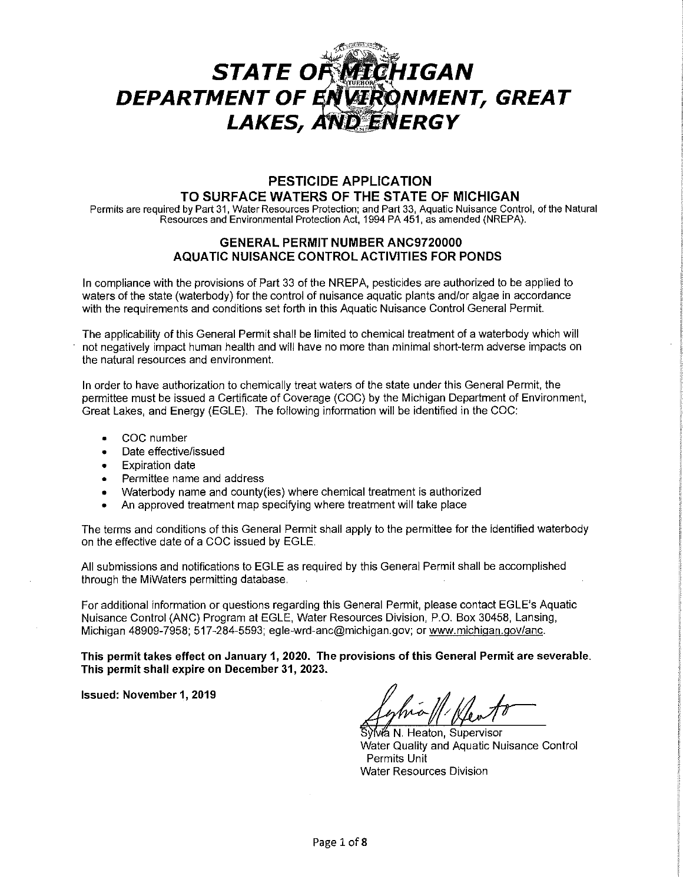# *cj£,:;~~~-* STATE OF **MICHIGAN** DEPARTMENT OF ENVIRONMENT, GREAT LAKES, AND ENERGY

## **PESTICIDE APPLICATION TO SURFACE WATERS OF THE STATE OF MICHIGAN**

Permits are required by Part 31, Water Resources Protection; and Part 33, Aquatic Nuisance Control, of the Natural Resources and Environmental Protection Act, 1994 PA 451, as amended (NREPA).

## **GENERAL PERMIT NUMBER ANC9720000 AQUATIC NUISANCE CONTROL ACTIVITIES FOR PONDS**

In compliance with the provisions of Part 33 of the NREPA, pesticides are authorized to be applied to waters of the state (waterbody) for the control of nuisance aquatic plants and/or algae in accordance with the requirements and conditions set forth in this Aquatic Nuisance Control General Permit.

The applicability of this General Permit shall be limited to chemical treatment of a waterbody which will not negatively impact human health and will have no more than minimal short-term adverse impacts on the natural resources and environment.

In order to have authorization to chemically treat waters of the state under this General Permit, the permittee must be issued a Certificate of Coverage (COG) by the Michigan Department of Environment, Great Lakes, and Energy (EGLE). The following information will be identified in the COG:

- COG number
- Date effective/issued
- **Expiration date**
- Permittee name and address
- Waterbody name and county(ies) where chemical treatment is authorized
- An approved treatment map specifying where treatment will take place

The terms and conditions of this General Permit shall apply to the permittee for the identified waterbody on the effective date of a COG issued by EGLE.

All submissions and notifications to EGLE as required by this General Permit shall be accomplished through the MiWaters permitting database.

For additional information or questions regarding this General Permit, please contact EGLE's Aquatic Nuisance Control (ANG) Program at EGLE, Water Resources Division, P.O. Box 30458, Lansing, Michigan 48909-7958; 517-284-5593; egle-wrd-anc@michigan.gov; or www.michigan.gov/anc.

**This permit takes effect on January 1, 2020. The provisions of this General Permit are severable. This permit shall expire on December 31, 2023.** 

**Issued: November 1, 2019** 

ív⁄á N. Heaton, Supervisor Water Quality and Aquatic Nuisance Control Permits Unit Water Resources Division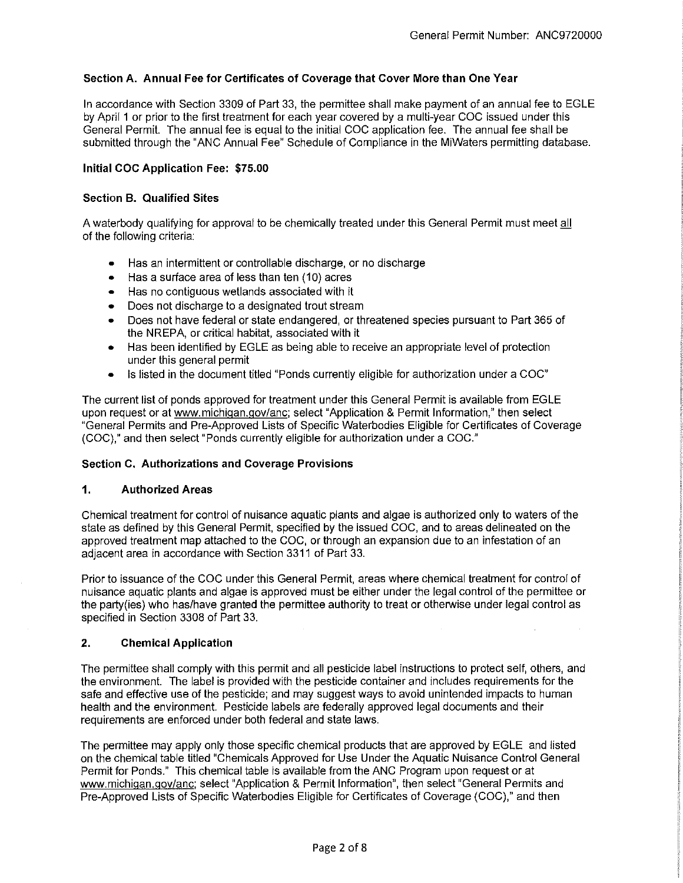## **Section A. Annual Fee for Certificates of Coverage that Cover More than One Year**

In accordance with Section 3309 of Part 33, the permittee shall make payment of an annual fee to EGLE by April 1 or prior to the first treatment for each year covered by a multi-year COG issued under this General Permit. The annual fee is equal to the initial COG application fee. The annual fee shall be submitted through the "ANG Annual Fee" Schedule of Compliance in the MiWaters permitting database.

## **Initial COC Application Fee: \$75.00**

## **Section B. Qualified Sites**

A waterbody qualifying for approval to be chemically treated under this General Permit must meet all of the following criteria:

- Has an intermittent or controllable discharge, or no discharge
- Has a surface area of less than ten (10) acres
- Has no contiguous wetlands associated with it
- Does not discharge to a designated trout stream
- Does not have federal or state endangered, or threatened species pursuant to Part 365 of the NREPA, or critical habitat, associated with it
- Has been identified by EGLE as being able to receive an appropriate level of protection under this general permit
- Is listed in the document titled "Ponds currently eligible for authorization under a COG"

The current list of ponds approved for treatment under this General Permit is available from EGLE upon request or at www.michigan.gov/anc; select "Application & Permit Information," then select "General Permits and Pre-Approved Lists of Specific Waterbodies Eligible for Certificates of Coverage (COG)," and then select "Ponds currently eligible for authorization under a COG."

## **Section C. Authorizations and Coverage Provisions**

## **1. Authorized Areas**

Chemical treatment for control of nuisance aquatic plants and algae is authorized only to waters of the state as defined by this General Permit, specified by the issued COG, and to areas delineated on the approved treatment map attached to the COG, or through an expansion due to an infestation of an adjacent area in accordance with Section 3311 of Part 33.

Prior to issuance of the COG under this General Permit, areas where chemical treatment for control of nuisance aquatic plants and algae is approved must be either under the legal control of the permittee or the party(ies) who has/have granted the permittee authority to treat or otherwise under legal control as specified in Section 3308 of Part 33.

## **2. Chemical Application**

The permittee shall comply with this permit and all pesticide label instructions to protect self, others, and the environment. The label is provided with the pesticide container and includes requirements for the safe and effective use of the pesticide; and may suggest ways to avoid unintended impacts to human health and the environment. Pesticide labels are federally approved legal documents and their requirements are enforced under both federal and state laws.

The permittee may apply only those specific chemical products that are approved by EGLE and listed on the chemical table tilled "Chemicals Approved for Use Under the Aquatic Nuisance Control General Permit for Ponds." This chemical table is available from the ANG Program upon request or at www.michigan.gov/anc; select "Application & Permit Information", then select "General Permits and Pre-Approved Lists of Specific Waterbodies Eligible for Certificates of Coverage (COG)," and then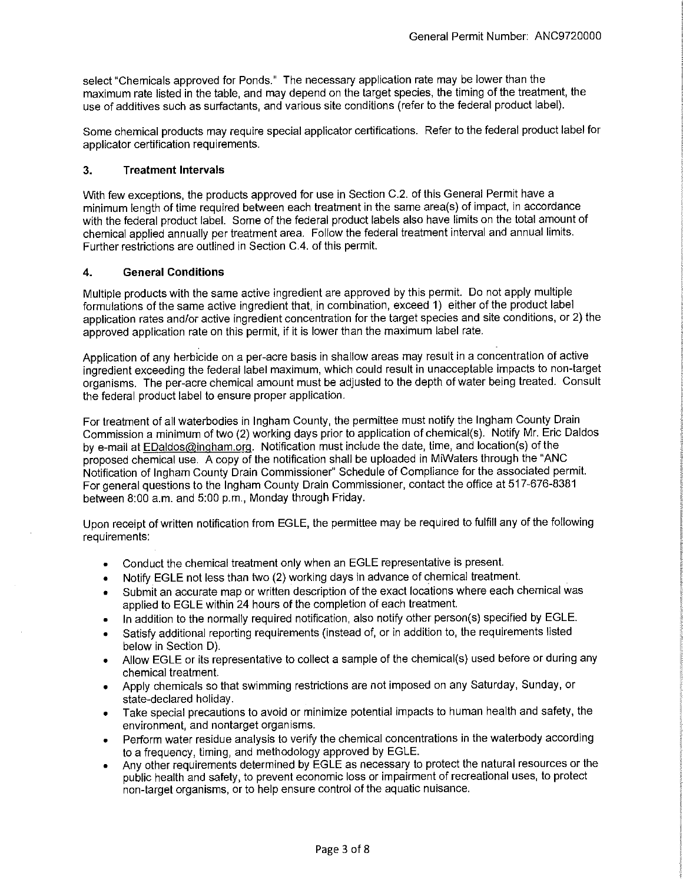select "Chemicals approved for Ponds." The necessary application rate may be lower than the maximum rate listed in the table, and may depend on the target species, the timing of the treatment, the use of additives such as surfactants, and various site conditions (refer to the federal product label).

Some chemical products may require special applicator certifications. Refer to the federal product label for applicator certification requirements.

## **3. Treatment Intervals**

With few exceptions, the products approved for use in Section C.2. of this General Permit have a minimum length of time required between each treatment in the same area(s) of impact, in accordance with the federal product label. Some of the federal product labels also have limits on the total amount of chemical applied annually per treatment area. Follow the federal treatment interval and annual limits. Further restrictions are outlined in Section C.4. of this permit.

## **4. General Conditions**

Multiple products with the same active ingredient are approved by this permit. Do not apply multiple formulations of the same active ingredient that, in combination, exceed 1) either of the product label application rates and/or active ingredient concentration for the target species and site conditions, or 2) the approved application rate on this permit, if it is lower than the maximum label rate.

Application of any herbicide on a per-acre basis in shallow areas may result in a concentration of active ingredient exceeding the federal label maximum, which could result in unacceptable impacts to non-target organisms. The per-acre chemical amount must be adjusted to the depth of water being treated. Consult the federal product label to ensure proper application.

For treatment of all waterbodies in Ingham County, the permittee must notify the Ingham County Drain Commission a minimum of two (2) working days prior to application of chemical(s). Notify Mr. Eric Daldos by e-mail at EDaldos@ingham.org. Notification must include the date, time, and location(s) of the proposed chemical use. A copy of the notification shall be uploaded in MiWaters through the "ANG Notification of Ingham County Drain Commissioner" Schedule of Compliance for the associated permit. For general questions to the Ingham County Drain Commissioner, contact the office at 517-676-8381 between 8:00 a.m. and 5:00 p.m., Monday through Friday.

Upon receipt of written notification from EGLE, the permittee may be required to fulfill any of the following requirements:

- Conduct the chemical treatment only when an EGLE representative is present.
- Notify EGLE not less than two (2) working days in advance of chemical treatment.
- Submit an accurate map or written description of the exact locations where each chemical was applied to EGLE within 24 hours of the completion of each treatment.
- In addition to the normally required notification, also notify other person(s) specified by EGLE.
- Satisfy additional reporting requirements (instead of, or in addition to, the requirements listed below in Section D).
- Allow EGLE or its representative to collect a sample of the chemical(s) used before or during any chemical treatment.
- Apply chemicals so that swimming restrictions are not imposed on any Saturday, Sunday, or state-declared holiday.
- Take special precautions to avoid or minimize potential impacts to human health and safety, the environment, and nontarget organisms.
- Perform water residue analysis to verify the chemical concentrations in the waterbody according to a frequency, timing, and methodology approved by EGLE.
- Any other requirements determined by EGLE as necessary to protect the natural resources or the public health and safety, to prevent economic loss or impairment of recreational uses, to protect non-target organisms, or to help ensure control of the aquatic nuisance.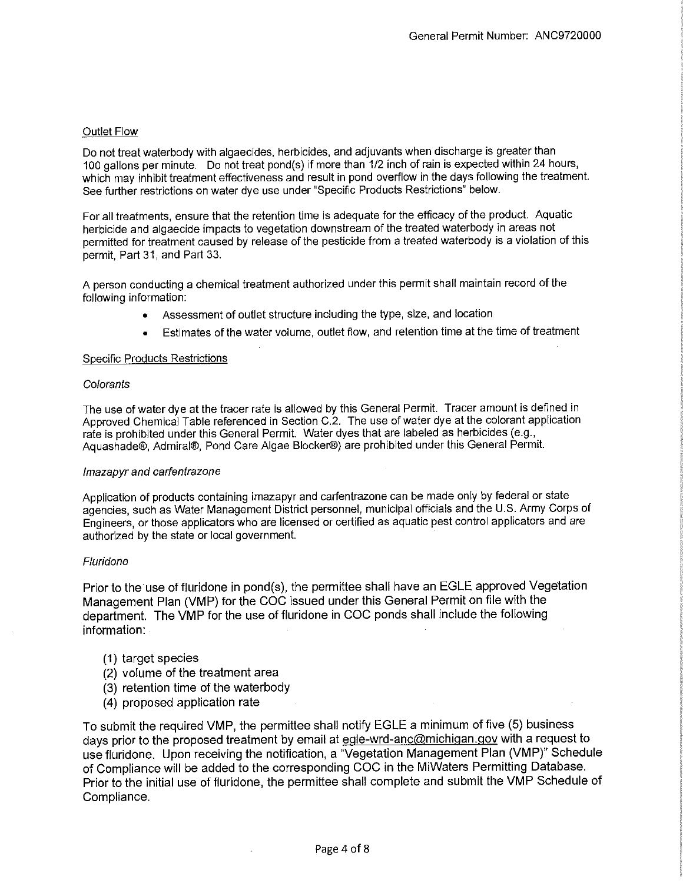## Outlet Flow

Do not treat waterbody with algaecides, herbicides, and adjuvants when discharge is greater than 100 gallons per minute. Do not treat pond{s) if more than 1/2 inch of rain is expected within 24 hours, which may inhibit treatment effectiveness and result in pond overflow in the days following the treatment. See further restrictions on water dye use under "Specific Products Restrictions" below.

For all treatments, ensure that the retention time is adequate for the efficacy of the product. Aquatic herbicide and algaecide impacts to vegetation downstream of the treated waterbody in areas not permitted for treatment caused by release of the pesticide from a treated waterbody is a violation of this permit, Part 31, and Part 33.

A person conducting a chemical treatment authorized under this permit shall maintain record of the following information:

- Assessment of outlet structure including the type, size, and location
- Estimates of the water volume, outlet flow, and retention time at the time of treatment

#### Specific Products Restrictions

#### **Colorants**

The use of water dye at the tracer rate is allowed by this General Permit. Tracer amount is defined in Approved Chemical Table referenced in Section C.2. The use of water dye at the colorant application rate is prohibited under this General Permit. Water dyes that are labeled as herbicides (e.g., Aquashade®, Admiral®, Pond Care Algae Blocker®) are prohibited under this General Permit.

#### lmazapyr and carfentrazone

Application of products containing imazapyr and carfentrazone can be made only by federal or state agencies, such as Water Management District personnel, municipal officials and the U.S. Army Corps of Engineers, or those applicators who are licensed or certified as aquatic pest control applicators and are authorized by the state or local government.

#### Fluridone

Prior to the use of fluridone in pond(s), the permittee shall have an EGLE approved Vegetation Management Plan (VMP) for the COG issued under this General Permit on file with the department. The VMP for the use of fluridone in COG ponds shall include the following information:

- (1) target species
- (2) volume of the treatment area
- (3) retention time of the waterbody
- (4) proposed application rate

To submit the required VMP, the permittee shall notify EGLE a minimum of five (5) business days prior to the proposed treatment by email at egle-wrd-anc@michigan.gov with a request to use fluridone. Upon receiving the notification, a "Vegetation Management Plan (VMP)" Schedule of Compliance will be added to the corresponding COG in the MiWaters Permitting Database. Prior to the initial use of fluridone, the permittee shall complete and submit the VMP Schedule of Compliance.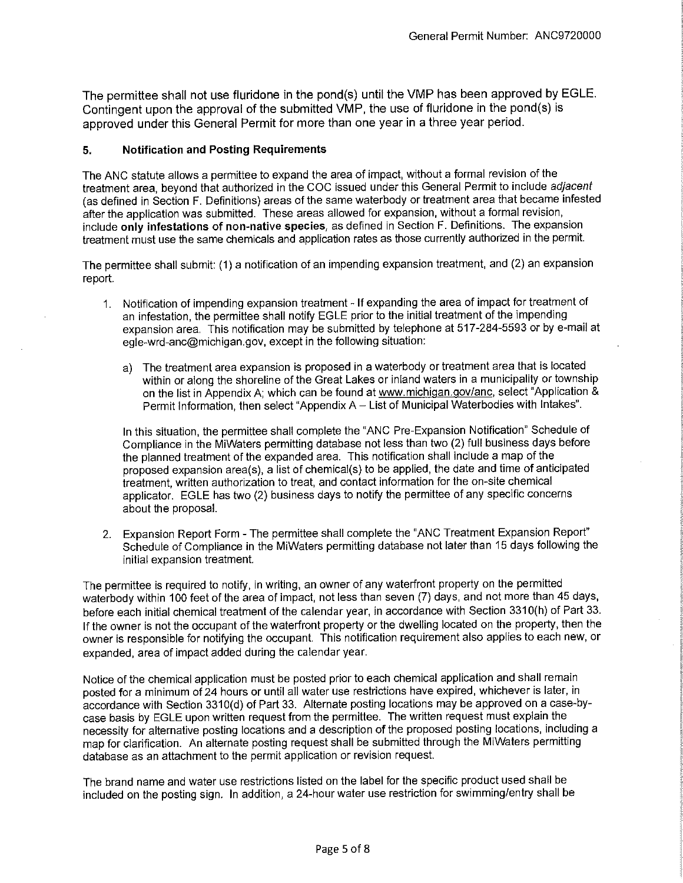The permittee shall not use fluridone in the pond(s) until the VMP has been approved by EGLE. Contingent upon the approval of the submitted VMP, the use of fluridone in the pond(s) is approved under this General Permit for more than one year in a three year period.

## **5. Notification and Posting Requirements**

The ANG statute allows a permittee to expand the area of impact, without a formal revision of the treatment area, beyond that authorized in the COG issued under this General Permit to include adjacent (as defined in Section F. Definitions) areas of the same waterbody or treatment area that became infested after the application was submitted. These areas allowed for expansion, without a formal revision, include **only infestations of non-native species,** as defined in Section F. Definitions. The expansion treatment must use the same chemicals and application rates as those currently authorized in the permit.

The permittee shall submit: (1) a notification of an impending expansion treatment, and (2) an expansion report.

- 1. Notification of impending expansion treatment If expanding the area of impact for treatment of an infestation, the permittee shall notify EGLE prior to the initial treatment of the impending expansion area. This notification may be submitted by telephone at 517-284-5593 or by e-mail at egle-wrd-anc@michigan.gov, except in the following situation:
	- a) The treatment area expansion is proposed in a waterbody or treatment area that is located within or along the shoreline of the Great Lakes or inland waters in a municipality or township on the list in Appendix A; which can be found at www.michigan.gov/anc, select "Application & Permit Information, then select "Appendix A - List of Municipal Waterbodies with Intakes".

In this situation, the permittee shall complete the "ANG Pre-Expansion Notification" Schedule of Compliance in the MiWaters permitting database not less than two (2) full business days before the planned treatment of the expanded area. This notification shall include a map of the proposed expansion area(s), a list of chemical(s) to be applied, the date and time of anticipated treatment, written authorization to treat, and contact information for the on-site chemical applicator. EGLE has two (2) business days to notify the permittee of any specific concerns about the proposal.

2. Expansion Report Form - The permittee shall complete the "ANG Treatment Expansion Report" Schedule of Compliance in the MiWaters permitting database not later than 15 days following the initial expansion treatment.

The permittee is required to notify, in writing, an owner of any waterfront property on the permitted waterbody within 100 feet of the area of impact, not less than seven (7) days, and not more than 45 days, before each initial chemical treatment of the calendar year, in accordance with Section 331 0(h) of Part 33. If the owner is not the occupant of the waterfront property or the dwelling located on the property, then the owner is responsible for notifying the occupant. This notification requirement also applies to each new, or expanded, area of impact added during the calendar year.

Notice of the chemical application must be posted prior to each chemical application and shall remain posted for a minimum of 24 hours or until all water use restrictions have expired, whichever is later, in accordance with Section 3310(d) of Part 33. Alternate posting locations may be approved on a case-bycase basis by EGLE upon written request from the permittee. The written request must explain the necessity for alternative posting locations and a description of the proposed posting locations, including a map for clarification. An alternate posting request shall be submitted through the MiWaters permitting database as an attachment to the permit application or revision request.

The brand name and water use restrictions listed on the label for the specific product used shall be included on the posting sign. In addition, a 24-hour water use restriction for swimming/entry shall be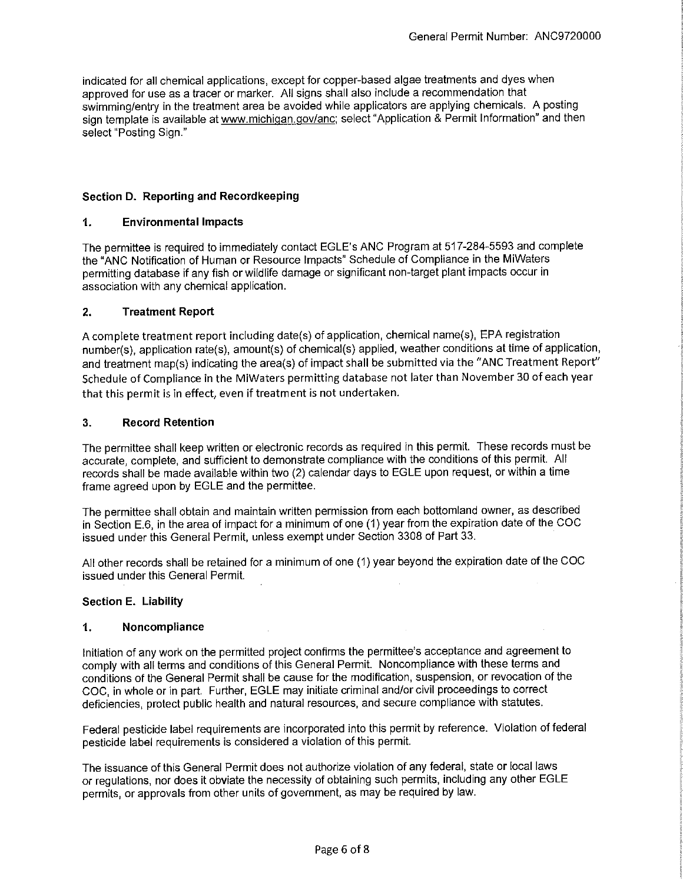indicated for all chemical applications, except for copper-based algae treatments and dyes when approved for use as a tracer or marker. All signs shall also include a recommendation that swimming/entry in the treatment area be avoided while applicators are applying chemicals. A posting sign template is available at www.michigan.gov/anc; select "Application & Permit Information" and then select "Posting Sign."

## **Section D. Reporting and Recordkeeping**

## **1. Environmental Impacts**

The permittee is required to immediately contact EGLE's ANG Program at 517-284-5593 and complete the "ANG Notification of Human or Resource Impacts" Schedule of Compliance in the MiWaters permitting database if any fish or wildlife damage or significant non-target plant impacts occur in association with any chemical application.

## **2. Treatment Report**

A complete treatment report including date(s) of application, chemical name(s), EPA registration number(s), application rate(s), amount(s) of chemical(s) applied, weather conditions at time of application, and treatment map(s) indicating the area(s) of impact shall be submitted via the "ANC Treatment Report" Schedule of Compliance in the MiWaters permitting database not later than November 30 of each year that this permit is in effect, even if treatment is not undertaken.

## **3. Record Retention**

The permittee shall keep written or electronic records as required in this permit. These records must be accurate, complete, and sufficient to demonstrate compliance with the conditions of this permit. All records shall be made available within two (2) calendar days to EGLE upon request, or within a time frame agreed upon by EGLE and the permittee.

The permittee shall obtain and maintain written permission from each bottomland owner, as described in Section E.6, in the area of impact for a minimum of one (1) year from the expiration date of the COG issued under this General Permit, unless exempt under Section 3308 of Part 33.

All other records shall be retained for a minimum of one (1) year beyond the expiration date of the COG issued under this General Permit.

## **Section E. Liability**

## **1. Noncompliance**

Initiation of any work on the permitted project confirms the permittee's acceptance and agreement to comply with all terms and conditions of this General Permit. Noncompliance with these terms and conditions of the General Permit shall be cause for the modification, suspension, or revocation of the COG, in whole or in part. Further, EGLE may initiate criminal and/or civil proceedings to correct deficiencies, protect public health and natural resources, and secure compliance with statutes.

Federal pesticide label requirements are incorporated into this permit by reference. Violation of federal pesticide label requirements is considered a violation of this permit.

The issuance of this General Permit does not authorize violation of any federal, state or local laws or regulations, nor does it obviate the necessity of obtaining such permits, including any other EGLE permits, or approvals from other units of government, as may be required by law.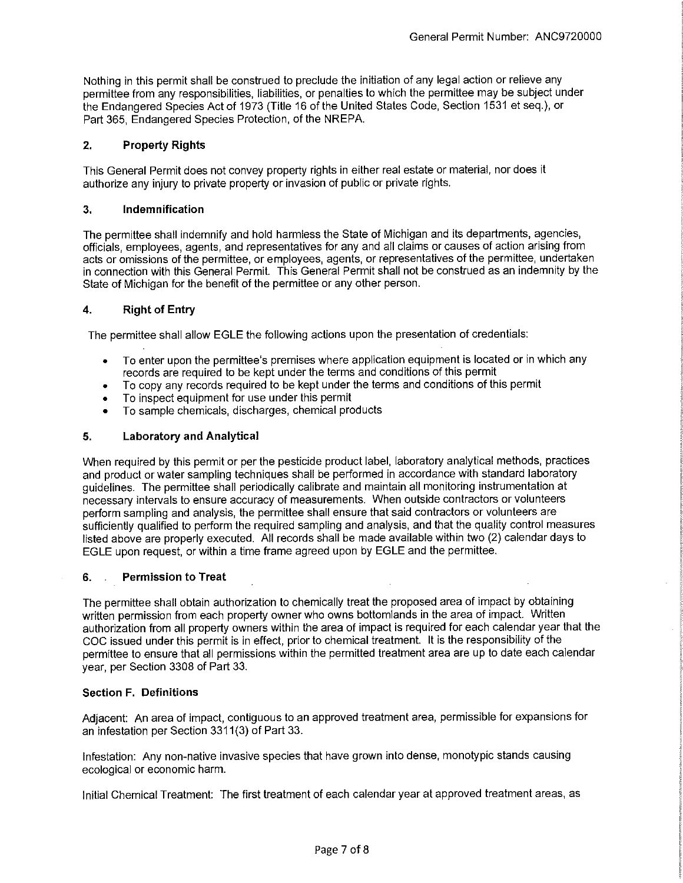Nothing in this permit shall be construed to preclude the initiation of any legal action or relieve any permittee from any responsibilities, liabilities, or penalties to which the permittee may be subject under the Endangered Species Act of 1973 (Title 16 of the United States Code, Section 1531 et seq.), or Part 365, Endangered Species Protection, of the NREPA.

## **2. Property Rights**

This General Permit does not convey property rights in either real estate or material, nor does it authorize any injury to private property or invasion of public or private rights.

## **3. Indemnification**

The permittee shall indemnify and hold harmless the State of Michigan and its departments, agencies, officials, employees, agents, and representatives for any and all claims or causes of action arising from acts or omissions of the permittee, or employees, agents, or representatives of the permittee, undertaken in connection with this General Permit. This General Permit shall not be construed as an indemnity by the State of Michigan for the benefit of the permittee or any other person.

## **4. Right of Entry**

The permittee shall allow EGLE the following actions upon the presentation of credentials:

- To enter upon the permittee's premises where application equipment is located or in which any records are required to be kept under the terms and conditions of this permit
- To copy any records required to be kept under the terms and conditions of this permit
- To inspect equipment for use under this permit
- To sample chemicals, discharges, chemical products

## **5. Laboratory and Analytical**

When required by this permit or per the pesticide product label, laboratory analytical methods, practices and product or water sampling techniques shall be performed in accordance with standard laboratory guidelines. The permittee shall periodically calibrate and maintain all monitoring instrumentation at necessary intervals to ensure accuracy of measurements. When outside contractors or volunteers perform sampling and analysis, the permittee shall ensure that said contractors or volunteers are sufficiently qualified to perform the required sampling and analysis, and that the quality control measures listed above are properly executed. All records shall be made available within two (2) calendar days to EGLE upon request, or within a time frame agreed upon by EGLE and the permittee.

## **6. Permission to Treat**

The permittee shall obtain authorization to chemically treat the proposed area of impact by obtaining written permission from each property owner who owns bottomlands in the area of impact. Written authorization from all property owners within the area of impact is required for each calendar year that the COG issued under this permit is in effect, prior to chemical treatment. It is the responsibility of the permittee to ensure that all permissions within the permitted treatment area are up to date each calendar year, per Section 3308 of Part 33.

## **Section F. Definitions**

Adjacent: An area of impact, contiguous to an approved treatment area, permissible for expansions for an infestation per Section 3311(3) of Part 33.

Infestation: Any non-native invasive species that have grown into dense, monotypic stands causing ecological or economic harm.

Initial Chemical Treatment: The first treatment of each calendar year at approved treatment areas, as